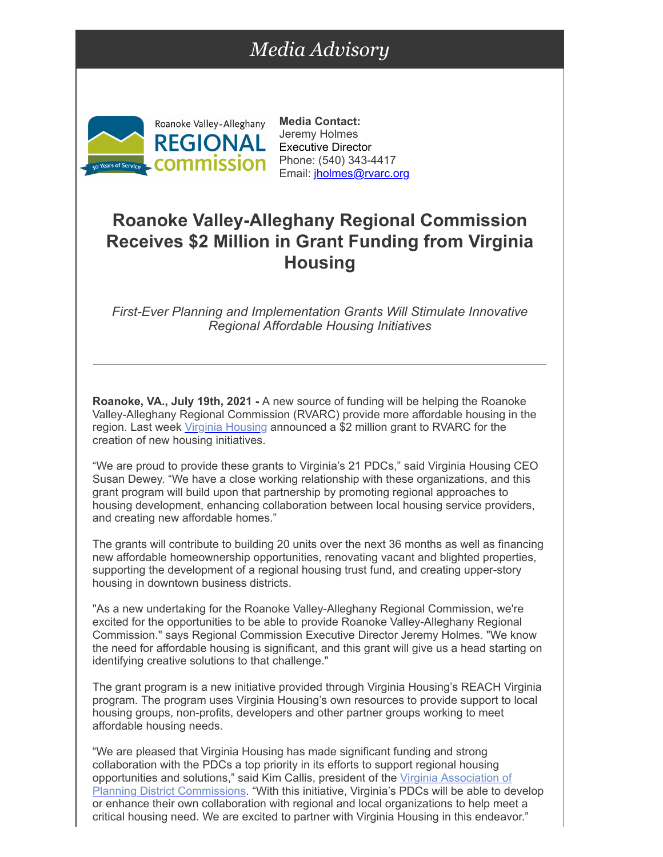## *Media Advisory*



**Media Contact:** Jeremy Holmes Executive Director Phone: (540) 343-4417 Email: [jholmes@rvarc.org](mailto:jholmes@rvarc.org)

## **Roanoke Valley-Alleghany Regional Commission Receives \$2 Million in Grant Funding from Virginia Housing**

*First-Ever Planning and Implementation Grants Will Stimulate Innovative Regional Affordable Housing Initiatives*

**Roanoke, VA., July 19th, 2021 -** A new source of funding will be helping the Roanoke Valley-Alleghany Regional Commission (RVARC) provide more affordable housing in the region. Last week [Virginia Housing](https://r20.rs6.net/tn.jsp?f=001rvW1kbLMpUS10frtCseTfEtIgply4k0kXnkHZSG0dIhR9NnXRZgcqbEUF9SKKPgFJ84LZgcDhLvE3ZjFBQ-NU_Ytm8pL4-6qP1cby7OxIUoR9lsHW76mTBFN7rva-PmZgQPd0iuOVD4ZIPO79d0NffcinDH6pn1I&c=M2mPH_UYDBNBMCcSj-4w3H6PfCuPlF8axEpB-J4j1eCWzT1aJQM_WQ==&ch=lscttrfX0860u1ZStT61-AJ1Wv85xJdLQrRHznMaFCrbRuEms1rxkg==) announced a \$2 million grant to RVARC for the creation of new housing initiatives.

"We are proud to provide these grants to Virginia's 21 PDCs," said Virginia Housing CEO Susan Dewey. "We have a close working relationship with these organizations, and this grant program will build upon that partnership by promoting regional approaches to housing development, enhancing collaboration between local housing service providers, and creating new affordable homes."

The grants will contribute to building 20 units over the next 36 months as well as financing new affordable homeownership opportunities, renovating vacant and blighted properties, supporting the development of a regional housing trust fund, and creating upper-story housing in downtown business districts.

"As a new undertaking for the Roanoke Valley-Alleghany Regional Commission, we're excited for the opportunities to be able to provide Roanoke Valley-Alleghany Regional Commission." says Regional Commission Executive Director Jeremy Holmes. "We know the need for affordable housing is significant, and this grant will give us a head starting on identifying creative solutions to that challenge."

The grant program is a new initiative provided through Virginia Housing's REACH Virginia program. The program uses Virginia Housing's own resources to provide support to local housing groups, non-profits, developers and other partner groups working to meet affordable housing needs.

"We are pleased that Virginia Housing has made significant funding and strong collaboration with the PDCs a top priority in its efforts to support regional housing opportunities and solutions," said Kim Callis, president of the Virginia Association of [Planning District Commissions. "With this initiative, Virginia's PDCs will be able to de](https://r20.rs6.net/tn.jsp?f=001rvW1kbLMpUS10frtCseTfEtIgply4k0kXnkHZSG0dIhR9NnXRZgcqSYonA40bg_qMx9wTcuXeQOXPhKfgtb95yAWVEa7Xi2QKIBaKdX8dMXbJTsGDQRR9kg1UFQsvYPYYrxV1kS4-TU=&c=M2mPH_UYDBNBMCcSj-4w3H6PfCuPlF8axEpB-J4j1eCWzT1aJQM_WQ==&ch=lscttrfX0860u1ZStT61-AJ1Wv85xJdLQrRHznMaFCrbRuEms1rxkg==)velop or enhance their own collaboration with regional and local organizations to help meet a critical housing need. We are excited to partner with Virginia Housing in this endeavor."